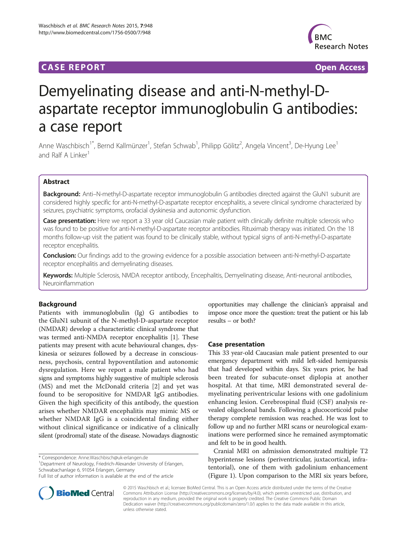## **CASE REPORT CASE REPORT CASE REPORT**



# Demyelinating disease and anti-N-methyl-Daspartate receptor immunoglobulin G antibodies: a case report

Anne Waschbisch<sup>1\*</sup>, Bernd Kallmünzer<sup>1</sup>, Stefan Schwab<sup>1</sup>, Philipp Gölitz<sup>2</sup>, Angela Vincent<sup>3</sup>, De-Hyung Lee<sup>1</sup> and Ralf A Linker<sup>1</sup>

## Abstract

Background: Anti-N-methyl-D-aspartate receptor immunoglobulin G antibodies directed against the GluN1 subunit are considered highly specific for anti-N-methyl-D-aspartate receptor encephalitis, a severe clinical syndrome characterized by seizures, psychiatric symptoms, orofacial dyskinesia and autonomic dysfunction.

Case presentation: Here we report a 33 year old Caucasian male patient with clinically definite multiple sclerosis who was found to be positive for anti-N-methyl-D-aspartate receptor antibodies. Rituximab therapy was initiated. On the 18 months follow-up visit the patient was found to be clinically stable, without typical signs of anti-N-methyl-D-aspartate receptor encephalitis.

Conclusion: Our findings add to the growing evidence for a possible association between anti-N-methyl-D-aspartate receptor encephalitis and demyelinating diseases.

Keywords: Multiple Sclerosis, NMDA receptor antibody, Encephalitis, Demyelinating disease, Anti-neuronal antibodies, Neuroinflammation

### Background

Patients with immunoglobulin (Ig) G antibodies to the GluN1 subunit of the N-methyl-D-aspartate receptor (NMDAR) develop a characteristic clinical syndrome that was termed anti-NMDA receptor encephalitis [[1](#page-2-0)]. These patients may present with acute behavioural changes, dyskinesia or seizures followed by a decrease in consciousness, psychosis, central hypoventilation and autonomic dysregulation. Here we report a male patient who had signs and symptoms highly suggestive of multiple sclerosis (MS) and met the McDonald criteria [[2\]](#page-2-0) and yet was found to be seropositive for NMDAR IgG antibodies. Given the high specificity of this antibody, the question arises whether NMDAR encephalitis may mimic MS or whether NMDAR IgG is a coincidental finding either without clinical significance or indicative of a clinically silent (prodromal) state of the disease. Nowadays diagnostic

\* Correspondence: [Anne.Waschbisch@uk-erlangen.de](mailto:Anne.Waschbisch@uk-erlangen.de) <sup>1</sup>

<sup>1</sup>Department of Neurology, Friedrich-Alexander University of Erlangen, Schwabachanlage 6, 91054 Erlangen, Germany



#### Case presentation

This 33 year-old Caucasian male patient presented to our emergency department with mild left-sided hemiparesis that had developed within days. Six years prior, he had been treated for subacute-onset diplopia at another hospital. At that time, MRI demonstrated several demyelinating periventricular lesions with one gadolinium enhancing lesion. Cerebrospinal fluid (CSF) analysis revealed oligoclonal bands. Following a glucocorticoid pulse therapy complete remission was reached. He was lost to follow up and no further MRI scans or neurological examinations were performed since he remained asymptomatic and felt to be in good health.

Cranial MRI on admission demonstrated multiple T2 hyperintense lesions (periventricular, juxtacortical, infratentorial), one of them with gadolinium enhancement (Figure [1](#page-1-0)). Upon comparison to the MRI six years before,



© 2015 Waschbisch et al.; licensee BioMed Central. This is an Open Access article distributed under the terms of the Creative Commons Attribution License [\(http://creativecommons.org/licenses/by/4.0\)](http://creativecommons.org/licenses/by/4.0), which permits unrestricted use, distribution, and reproduction in any medium, provided the original work is properly credited. The Creative Commons Public Domain Dedication waiver [\(http://creativecommons.org/publicdomain/zero/1.0/](http://creativecommons.org/publicdomain/zero/1.0/)) applies to the data made available in this article, unless otherwise stated.

Full list of author information is available at the end of the article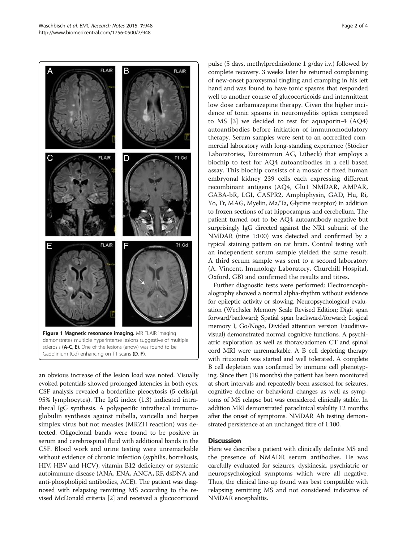an obvious increase of the lesion load was noted. Visually evoked potentials showed prolonged latencies in both eyes. CSF analysis revealed a borderline pleocytosis (5 cells/μl, demonstrates multiple hyperintense lesions suggestive of multiple sclerosis (A-C, E). One of the lesions (arrow) was found to be Gadolinium (Gd) enhancing on T1 scans (D, F).

95% lymphocytes). The IgG index (1.3) indicated intrathecal IgG synthesis. A polyspecific intrathecal immunoglobulin synthesis against rubella, varicella and herpes simplex virus but not measles (MRZH reaction) was detected. Oligoclonal bands were found to be positive in serum and cerebrospinal fluid with additional bands in the CSF. Blood work and urine testing were unremarkable without evidence of chronic infection (syphilis, borreliosis, HIV, HBV and HCV), vitamin B12 deficiency or systemic autoimmune disease (ANA, ENA, ANCA, RF, dsDNA and anti-phospholipid antibodies, ACE). The patient was diagnosed with relapsing remitting MS according to the revised McDonald criteria [\[2](#page-2-0)] and received a glucocorticoid

pulse (5 days, methylprednisolone 1 g/day i.v.) followed by complete recovery. 3 weeks later he returned complaining of new-onset paroxysmal tingling and cramping in his left hand and was found to have tonic spasms that responded well to another course of glucocorticoids and intermittent low dose carbamazepine therapy. Given the higher incidence of tonic spasms in neuromyelitis optica compared to MS [\[3](#page-3-0)] we decided to test for aquaporin-4 (AQ4) autoantibodies before initiation of immunomodulatory therapy. Serum samples were sent to an accredited commercial laboratory with long-standing experience (Stöcker Laboratories, Euroimmun AG, Lübeck) that employs a biochip to test for AQ4 autoantibodies in a cell based assay. This biochip consists of a mosaic of fixed human embryonal kidney 239 cells each expressing different recombinant antigens (AQ4, Glu1 NMDAR, AMPAR, GABA-bR, LGI, CASPR2, Amphiphysin, GAD, Hu, Ri, Yo, Tr, MAG, Myelin, Ma/Ta, Glycine receptor) in addition to frozen sections of rat hippocampus and cerebellum. The patient turned out to be AQ4 autoantibody negative but surprisingly IgG directed against the NR1 subunit of the NMDAR (titre 1:100) was detected and confirmed by a typical staining pattern on rat brain. Control testing with an independent serum sample yielded the same result. A third serum sample was sent to a second laboratory (A. Vincent, Imunology Laboratory, Churchill Hospital, Oxford, GB) and confirmed the results and titres.

Further diagnostic tests were performed: Electroencephalography showed a normal alpha-rhythm without evidence for epileptic activity or slowing. Neuropsychological evaluation (Wechsler Memory Scale Revised Edition; Digit span forward/backward; Spatial span backward/forward; Logical memory I, Go/Nogo, Divided attention version I/auditivevisual) demonstrated normal cognitive functions. A psychiatric exploration as well as thorax/adomen CT and spinal cord MRI were unremarkable. A B cell depleting therapy with rituximab was started and well tolerated. A complete B cell depletion was confirmed by immune cell phenotyping. Since then (18 months) the patient has been monitored at short intervals and repeatedly been assessed for seizures, cognitive decline or behavioral changes as well as symptoms of MS relapse but was considered clinically stable. In addition MRI demonstrated paraclinical stability 12 months after the onset of symptoms. NMDAR Ab testing demonstrated persistence at an unchanged titre of 1:100.

#### **Discussion**

Here we describe a patient with clinically definite MS and the presence of NMADR serum antibodies. He was carefully evaluated for seizures, dyskinesia, psychiatric or neuropsychological symptoms which were all negative. Thus, the clinical line-up found was best compatible with relapsing remitting MS and not considered indicative of NMDAR encephalitis.

<span id="page-1-0"></span>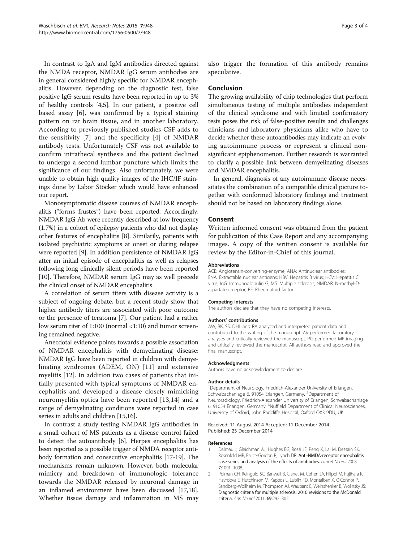<span id="page-2-0"></span>In contrast to IgA and IgM antibodies directed against the NMDA receptor, NMDAR IgG serum antibodies are in general considered highly specific for NMDAR encephalitis. However, depending on the diagnostic test, false positive IgG serum results have been reported in up to 3% of healthy controls [[4,5](#page-3-0)]. In our patient, a positive cell based assay [[6\]](#page-3-0), was confirmed by a typical staining pattern on rat brain tissue, and in another laboratory. According to previously published studies CSF adds to the sensitivity [[7](#page-3-0)] and the specificity [[4](#page-3-0)] of NMDAR antibody tests. Unfortunately CSF was not available to confirm intrathecal synthesis and the patient declined to undergo a second lumbar puncture which limits the significance of our findings. Also unfortunately, we were unable to obtain high quality images of the IHC/IF stainings done by Labor Stöcker which would have enhanced our report.

Monosymptomatic disease courses of NMDAR encephalitis ("forms frustes") have been reported. Accordingly, NMDAR IgG Ab were recently described at low frequency (1.7%) in a cohort of epilepsy patients who did not display other features of encephalitis [\[8](#page-3-0)]. Similarily, patients with isolated psychiatric symptoms at onset or during relapse were reported [[9](#page-3-0)]. In addition persistence of NMDAR IgG after an initial episode of encephalitis as well as relapses following long clinically silent periods have been reported [[10](#page-3-0)]. Therefore, NMDAR serum IgG may as well precede the clinical onset of NMDAR encephalitis.

A correlation of serum titers with disease activity is a subject of ongoing debate, but a recent study show that higher antibody titers are associated with poor outcome or the presence of teratoma [[7](#page-3-0)]. Our patient had a rather low serum titer of 1:100 (normal <1:10) and tumor screening remained negative.

Anecdotal evidence points towards a possible association of NMDAR encephalitis with demyelinating disease: NMDAR IgG have been reported in children with demyelinating syndromes (ADEM, ON) [\[11\]](#page-3-0) and extensive myelitis [[12](#page-3-0)]. In addition two cases of patients that initially presented with typical symptoms of NMDAR encephalitis and developed a disease closely mimicking neuromyelitis optica have been reported [\[13,14](#page-3-0)] and a range of demyelinating conditions were reported in case series in adults and children [\[15,16](#page-3-0)].

In contrast a study testing NMDAR IgG antibodies in a small cohort of MS patients as a disease control failed to detect the autoantibody [[6](#page-3-0)]. Herpes encephalitis has been reported as a possible trigger of NMDA receptor antibody formation and consecutive encephalitis [\[17-19\]](#page-3-0). The mechanisms remain unknown. However, both molecular mimicry and breakdown of immunologic tolerance towards the NMDAR released by neuronal damage in an inflamed environment have been discussed [\[17,18](#page-3-0)]. Whether tissue damage and inflammation in MS may also trigger the formation of this antibody remains speculative.

#### Conclusion

The growing availability of chip technologies that perform simultaneous testing of multiple antibodies independent of the clinical syndrome and with limited confirmatory tests poses the risk of false-positive results and challenges clinicians and laboratory physicians alike who have to decide whether these autoantibodies may indicate an evolving autoimmune process or represent a clinical nonsignificant epiphenomenon. Further research is warranted to clarify a possible link between demyelinating diseases and NMDAR encephalitis.

In general, diagnosis of any autoimmune disease necessitates the combination of a compatible clinical picture together with conformed laboratory findings and treatment should not be based on laboratory findings alone.

#### Consent

Written informed consent was obtained from the patient for publication of this Case Report and any accompanying images. A copy of the written consent is available for review by the Editor-in-Chief of this journal.

#### Abbreviations

ACE: Angiotensin-converting-enzyme; ANA: Antinuclear antibodies; ENA: Extractable nuclear antigens; HBV: Hepatitis B virus; HCV: Hepatitis C virus; IgG: Immunoglobulin G; MS: Multiple sclerosis; NMDAR: N-methyl-Daspartate receptor; RF: Rheumatoid factor.

#### Competing interests

The authors declare that they have no competing interests.

#### Authors' contributions

AW, BK, SS, DHL and RA analyzed and interpreted patient data and contributed to the writing of the manuscript. AV performed laboratory analyses and critically reviewed the manuscript. PG performed MR imaging and critically reviewed the manuscript. All authors read and approved the final manuscript.

#### Acknowledgments

Authors have no acknowledgment to declare.

#### Author details

<sup>1</sup>Department of Neurology, Friedrich-Alexander University of Erlangen Schwabachanlage 6, 91054 Erlangen, Germany. <sup>2</sup>Department of Neuroradiology, Friedrich-Alexander University of Erlangen, Schwabachanlage 6, 91054 Erlangen, Germany. <sup>3</sup>Nuffield Department of Clinical Neurosciences University of Oxford, John Radcliffe Hospital, Oxford OX3 9DU, UK.

#### Received: 11 August 2014 Accepted: 11 December 2014 Published: 23 December 2014

#### References

- 1. Dalmau J, Gleichman AJ, Hughes EG, Rossi JE, Peng X, Lai M, Dessain SK, Rosenfeld MR, Balice-Gordon R, Lynch DR: Anti-NMDA-receptor encephalitis: case series and analysis of the effects of antibodies. Lancet Neurol 2008, 7:1091–1098.
- 2. Polman CH, Reingold SC, Banwell B, Clanet M, Cohen JA, Filippi M, Fujihara K, Havrdova E, Hutchinson M, Kappos L, Lublin FD, Montalban X, O'Connor P, Sandberg-Wollheim M, Thompson AJ, Waubant E, Weinshenker B, Wolinsky JS: Diagnostic criteria for multiple sclerosis: 2010 revisions to the McDonald criteria. Ann Neurol 2011, 69:292–302.